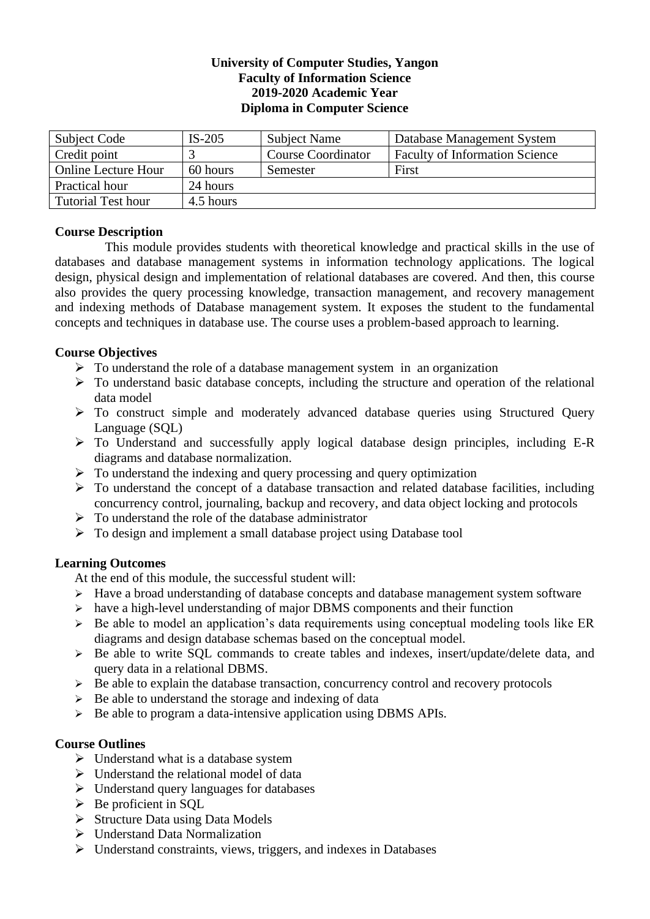# **University of Computer Studies, Yangon Faculty of Information Science 2019-2020 Academic Year Diploma in Computer Science**

| Subject Code               | $IS-205$  | Subject Name              | Database Management System            |
|----------------------------|-----------|---------------------------|---------------------------------------|
| Credit point               |           | <b>Course Coordinator</b> | <b>Faculty of Information Science</b> |
| <b>Online Lecture Hour</b> | 60 hours  | Semester                  | First                                 |
| Practical hour             | 24 hours  |                           |                                       |
| <b>Tutorial Test hour</b>  | 4.5 hours |                           |                                       |

# **Course Description**

This module provides students with theoretical knowledge and practical skills in the use of databases and database management systems in information technology applications. The logical design, physical design and implementation of relational databases are covered. And then, this course also provides the query processing knowledge, transaction management, and recovery management and indexing methods of Database management system. It exposes the student to the fundamental concepts and techniques in database use. The course uses a problem-based approach to learning.

# **Course Objectives**

- $\triangleright$  To understand the role of a database management system in an organization
- $\triangleright$  To understand basic database concepts, including the structure and operation of the relational data model
- ➢ To construct simple and moderately advanced database queries using Structured Query Language (SQL)
- ➢ To Understand and successfully apply logical database design principles, including E-R diagrams and database normalization.
- $\triangleright$  To understand the indexing and query processing and query optimization
- $\triangleright$  To understand the concept of a database transaction and related database facilities, including concurrency control, journaling, backup and recovery, and data object locking and protocols
- $\triangleright$  To understand the role of the database administrator
- ➢ To design and implement a small database project using Database tool

#### **Learning Outcomes**

At the end of this module, the successful student will:

- ➢ Have a broad understanding of database concepts and database management system software
- $\triangleright$  have a high-level understanding of major DBMS components and their function
- ➢ Be able to model an application's data requirements using conceptual modeling tools like ER diagrams and design database schemas based on the conceptual model.
- ➢ Be able to write SQL commands to create tables and indexes, insert/update/delete data, and query data in a relational DBMS.
- ➢ Be able to explain the database transaction, concurrency control and recovery protocols
- $\triangleright$  Be able to understand the storage and indexing of data
- $\triangleright$  Be able to program a data-intensive application using DBMS APIs.

## **Course Outlines**

- $\triangleright$  Understand what is a database system
- ➢ Understand the relational model of data
- $\triangleright$  Understand query languages for databases
- $\triangleright$  Be proficient in SQL
- ➢ Structure Data using Data Models
- ➢ Understand Data Normalization
- ➢ Understand constraints, views, triggers, and indexes in Databases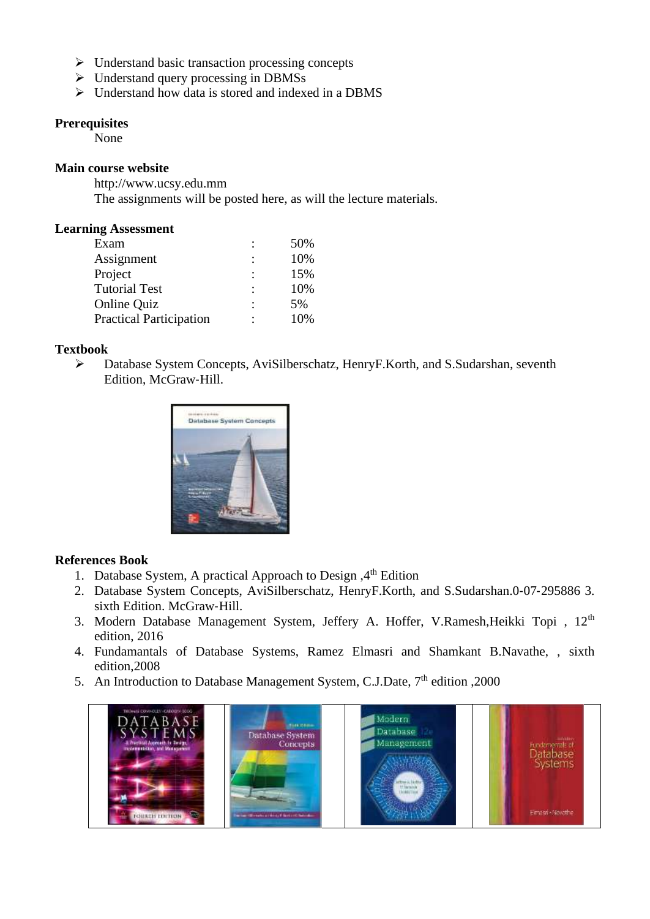- ➢ Understand basic transaction processing concepts
- ➢ Understand query processing in DBMSs
- ➢ Understand how data is stored and indexed in a DBMS

## **Prerequisites**

None

## **Main course website**

http://www.ucsy.edu.mm The assignments will be posted here, as will the lecture materials.

#### **Learning Assessment**

| Exam                           |   | 50% |
|--------------------------------|---|-----|
| Assignment                     |   | 10% |
| Project                        |   | 15% |
| <b>Tutorial Test</b>           | ٠ | 10% |
| <b>Online Quiz</b>             |   | 5%  |
| <b>Practical Participation</b> | ٠ | 10% |

#### **Textbook**

➢ Database System Concepts, AviSilberschatz, HenryF.Korth, and S.Sudarshan, seventh Edition, McGraw‐Hill.



# **References Book**

- 1. Database System, A practical Approach to Design,  $4<sup>th</sup>$  Edition
- 2. Database System Concepts, AviSilberschatz, HenryF.Korth, and S.Sudarshan.0‐07‐295886 3. sixth Edition. McGraw-Hill.
- 3. Modern Database Management System, Jeffery A. Hoffer, V.Ramesh,Heikki Topi , 12th edition, 2016
- 4. Fundamantals of Database Systems, Ramez Elmasri and Shamkant B.Navathe, , sixth edition,2008
- 5. An Introduction to Database Management System, C.J.Date, 7<sup>th</sup> edition ,2000

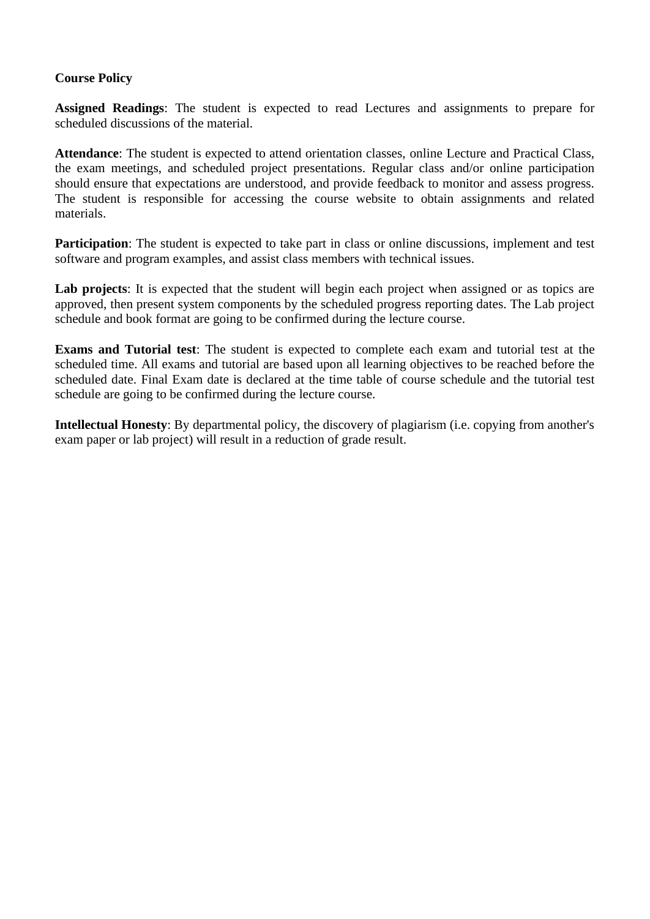# **Course Policy**

**Assigned Readings**: The student is expected to read Lectures and assignments to prepare for scheduled discussions of the material.

**Attendance**: The student is expected to attend orientation classes, online Lecture and Practical Class, the exam meetings, and scheduled project presentations. Regular class and/or online participation should ensure that expectations are understood, and provide feedback to monitor and assess progress. The student is responsible for accessing the course website to obtain assignments and related materials.

**Participation**: The student is expected to take part in class or online discussions, implement and test software and program examples, and assist class members with technical issues.

**Lab projects**: It is expected that the student will begin each project when assigned or as topics are approved, then present system components by the scheduled progress reporting dates. The Lab project schedule and book format are going to be confirmed during the lecture course.

**Exams and Tutorial test**: The student is expected to complete each exam and tutorial test at the scheduled time. All exams and tutorial are based upon all learning objectives to be reached before the scheduled date. Final Exam date is declared at the time table of course schedule and the tutorial test schedule are going to be confirmed during the lecture course.

**Intellectual Honesty**: By departmental policy, the discovery of plagiarism (i.e. copying from another's exam paper or lab project) will result in a reduction of grade result.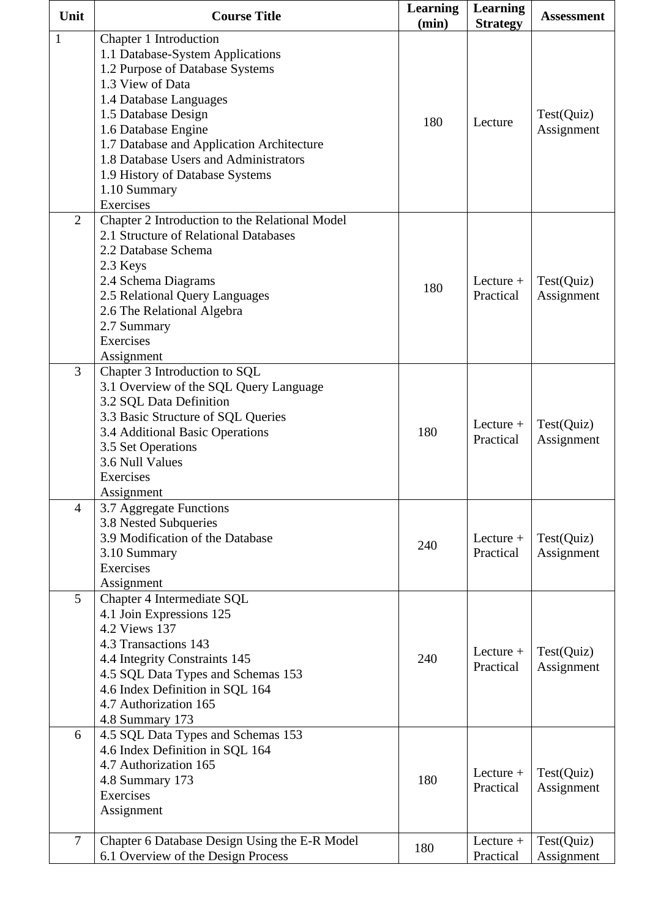| Unit           | <b>Course Title</b>                            | Learning<br>(min) | Learning<br><b>Strategy</b> | <b>Assessment</b> |
|----------------|------------------------------------------------|-------------------|-----------------------------|-------------------|
| 1              | Chapter 1 Introduction                         |                   |                             |                   |
|                | 1.1 Database-System Applications               |                   |                             |                   |
|                | 1.2 Purpose of Database Systems                |                   |                             |                   |
|                | 1.3 View of Data                               |                   |                             |                   |
|                | 1.4 Database Languages                         |                   |                             |                   |
|                | 1.5 Database Design                            |                   |                             | Test(Quiz)        |
|                | 1.6 Database Engine                            | 180               | Lecture                     | Assignment        |
|                | 1.7 Database and Application Architecture      |                   |                             |                   |
|                | 1.8 Database Users and Administrators          |                   |                             |                   |
|                | 1.9 History of Database Systems                |                   |                             |                   |
|                | 1.10 Summary                                   |                   |                             |                   |
|                | Exercises                                      |                   |                             |                   |
| $\overline{2}$ | Chapter 2 Introduction to the Relational Model |                   |                             |                   |
|                | 2.1 Structure of Relational Databases          |                   |                             |                   |
|                |                                                |                   |                             |                   |
|                | 2.2 Database Schema                            |                   |                             |                   |
|                | 2.3 Keys                                       |                   |                             |                   |
|                | 2.4 Schema Diagrams                            | 180               | Lecture $+$                 | Test(Quiz)        |
|                | 2.5 Relational Query Languages                 |                   | Practical                   | Assignment        |
|                | 2.6 The Relational Algebra                     |                   |                             |                   |
|                | 2.7 Summary                                    |                   |                             |                   |
|                | Exercises                                      |                   |                             |                   |
|                | Assignment                                     |                   |                             |                   |
| 3              | Chapter 3 Introduction to SQL                  |                   |                             |                   |
|                | 3.1 Overview of the SQL Query Language         |                   |                             |                   |
|                | 3.2 SQL Data Definition                        |                   |                             |                   |
|                | 3.3 Basic Structure of SQL Queries             |                   |                             |                   |
|                | 3.4 Additional Basic Operations                | 180               | Lecture $+$                 | Test(Quiz)        |
|                | 3.5 Set Operations                             |                   | Practical                   | Assignment        |
|                | 3.6 Null Values                                |                   |                             |                   |
|                | Exercises                                      |                   |                             |                   |
|                | Assignment                                     |                   |                             |                   |
| $\overline{4}$ | 3.7 Aggregate Functions                        |                   |                             |                   |
|                | 3.8 Nested Subqueries                          |                   |                             |                   |
|                | 3.9 Modification of the Database               |                   | Lecture $+$                 | Test(Quiz)        |
|                | 3.10 Summary                                   | 240               | Practical                   | Assignment        |
|                | Exercises                                      |                   |                             |                   |
|                | Assignment                                     |                   |                             |                   |
| 5              | Chapter 4 Intermediate SQL                     |                   |                             |                   |
|                | 4.1 Join Expressions 125                       |                   |                             |                   |
|                | 4.2 Views 137                                  |                   |                             |                   |
|                | 4.3 Transactions 143                           |                   |                             |                   |
|                |                                                | 240               | Lecture $+$                 | Test(Quiz)        |
|                | 4.4 Integrity Constraints 145                  |                   | Practical                   | Assignment        |
|                | 4.5 SQL Data Types and Schemas 153             |                   |                             |                   |
|                | 4.6 Index Definition in SQL 164                |                   |                             |                   |
|                | 4.7 Authorization 165                          |                   |                             |                   |
|                | 4.8 Summary 173                                |                   |                             |                   |
| 6              | 4.5 SQL Data Types and Schemas 153             |                   |                             |                   |
|                | 4.6 Index Definition in SQL 164                |                   |                             |                   |
|                | 4.7 Authorization 165                          |                   | Lecture $+$                 | Test(Quiz)        |
|                | 4.8 Summary 173                                | 180               | Practical                   | Assignment        |
|                | Exercises                                      |                   |                             |                   |
|                | Assignment                                     |                   |                             |                   |
|                |                                                |                   |                             |                   |
| $\overline{7}$ | Chapter 6 Database Design Using the E-R Model  | 180               | Lecture $+$                 | Test(Quiz)        |
|                | 6.1 Overview of the Design Process             |                   | Practical                   | Assignment        |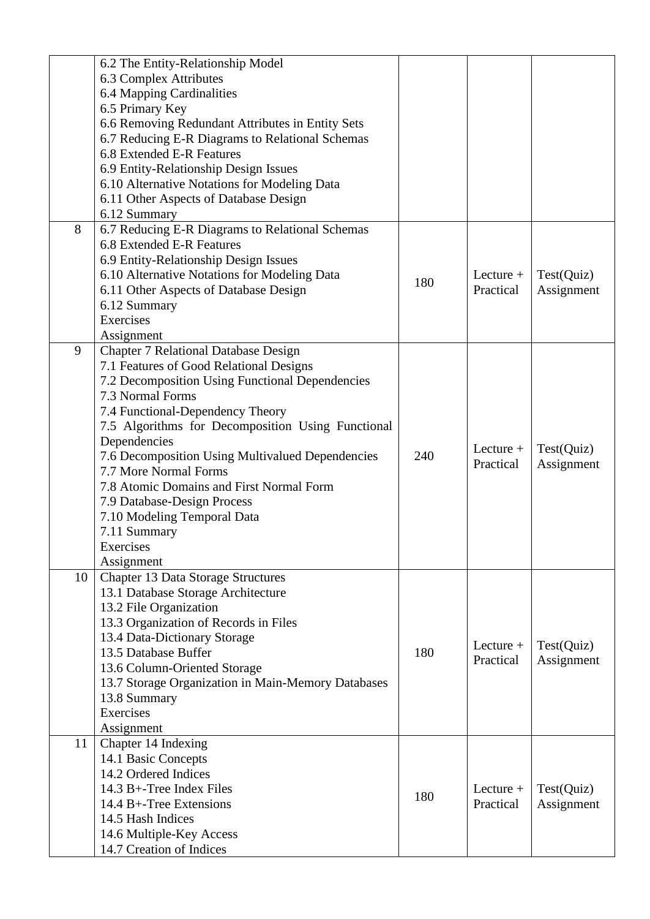|    | 6.2 The Entity-Relationship Model                  |     |             |            |
|----|----------------------------------------------------|-----|-------------|------------|
|    | 6.3 Complex Attributes                             |     |             |            |
|    | 6.4 Mapping Cardinalities                          |     |             |            |
|    | 6.5 Primary Key                                    |     |             |            |
|    | 6.6 Removing Redundant Attributes in Entity Sets   |     |             |            |
|    | 6.7 Reducing E-R Diagrams to Relational Schemas    |     |             |            |
|    | 6.8 Extended E-R Features                          |     |             |            |
|    | 6.9 Entity-Relationship Design Issues              |     |             |            |
|    | 6.10 Alternative Notations for Modeling Data       |     |             |            |
|    | 6.11 Other Aspects of Database Design              |     |             |            |
|    | 6.12 Summary                                       |     |             |            |
| 8  | 6.7 Reducing E-R Diagrams to Relational Schemas    |     |             |            |
|    | 6.8 Extended E-R Features                          |     |             |            |
|    | 6.9 Entity-Relationship Design Issues              |     |             |            |
|    | 6.10 Alternative Notations for Modeling Data       |     | Lecture $+$ | Test(Quiz) |
|    | 6.11 Other Aspects of Database Design              | 180 | Practical   | Assignment |
|    | 6.12 Summary                                       |     |             |            |
|    | Exercises                                          |     |             |            |
|    | Assignment                                         |     |             |            |
| 9  | <b>Chapter 7 Relational Database Design</b>        |     |             |            |
|    | 7.1 Features of Good Relational Designs            |     |             |            |
|    | 7.2 Decomposition Using Functional Dependencies    |     |             |            |
|    | 7.3 Normal Forms                                   |     |             |            |
|    | 7.4 Functional-Dependency Theory                   |     |             |            |
|    | 7.5 Algorithms for Decomposition Using Functional  |     |             |            |
|    | Dependencies                                       |     |             |            |
|    | 7.6 Decomposition Using Multivalued Dependencies   | 240 | Lecture $+$ | Test(Quiz) |
|    | 7.7 More Normal Forms                              |     | Practical   | Assignment |
|    | 7.8 Atomic Domains and First Normal Form           |     |             |            |
|    |                                                    |     |             |            |
|    | 7.9 Database-Design Process                        |     |             |            |
|    | 7.10 Modeling Temporal Data                        |     |             |            |
|    | 7.11 Summary                                       |     |             |            |
|    | Exercises                                          |     |             |            |
|    | Assignment                                         |     |             |            |
| 10 | <b>Chapter 13 Data Storage Structures</b>          |     |             |            |
|    | 13.1 Database Storage Architecture                 |     |             |            |
|    | 13.2 File Organization                             |     |             |            |
|    | 13.3 Organization of Records in Files              |     |             |            |
|    | 13.4 Data-Dictionary Storage                       |     | Lecture $+$ | Test(Quiz) |
|    | 13.5 Database Buffer                               | 180 | Practical   | Assignment |
|    | 13.6 Column-Oriented Storage                       |     |             |            |
|    | 13.7 Storage Organization in Main-Memory Databases |     |             |            |
|    | 13.8 Summary                                       |     |             |            |
|    | Exercises                                          |     |             |            |
|    | Assignment                                         |     |             |            |
| 11 | Chapter 14 Indexing                                |     |             |            |
|    | 14.1 Basic Concepts                                |     |             |            |
|    | 14.2 Ordered Indices                               |     |             |            |
|    | $14.3 B +$ -Tree Index Files                       | 180 | Lecture $+$ | Test(Quiz) |
|    | 14.4 B+-Tree Extensions                            |     | Practical   | Assignment |
|    | 14.5 Hash Indices                                  |     |             |            |
|    | 14.6 Multiple-Key Access                           |     |             |            |
|    | 14.7 Creation of Indices                           |     |             |            |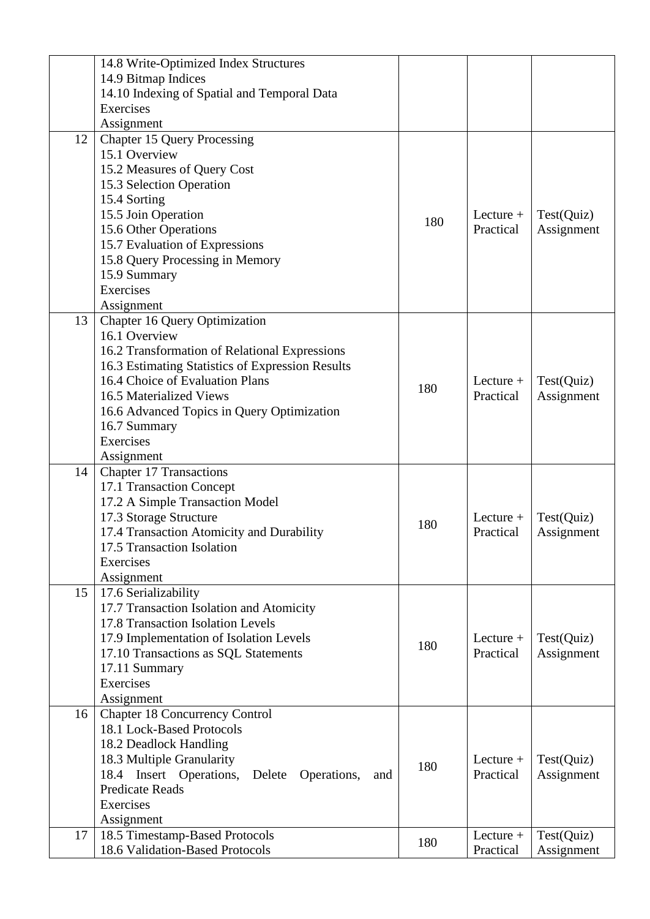|    | 14.8 Write-Optimized Index Structures                                   |     |                          |            |
|----|-------------------------------------------------------------------------|-----|--------------------------|------------|
|    | 14.9 Bitmap Indices                                                     |     |                          |            |
|    | 14.10 Indexing of Spatial and Temporal Data                             |     |                          |            |
|    | Exercises                                                               |     |                          |            |
|    | Assignment                                                              |     |                          |            |
| 12 | <b>Chapter 15 Query Processing</b>                                      |     |                          |            |
|    | 15.1 Overview                                                           |     |                          |            |
|    | 15.2 Measures of Query Cost                                             |     |                          |            |
|    | 15.3 Selection Operation                                                |     |                          |            |
|    | 15.4 Sorting                                                            |     |                          |            |
|    | 15.5 Join Operation                                                     |     | Lecture $+$              | Test(Quiz) |
|    | 15.6 Other Operations                                                   | 180 | Practical                | Assignment |
|    | 15.7 Evaluation of Expressions                                          |     |                          |            |
|    | 15.8 Query Processing in Memory                                         |     |                          |            |
|    | 15.9 Summary                                                            |     |                          |            |
|    | Exercises                                                               |     |                          |            |
|    | Assignment                                                              |     |                          |            |
| 13 | <b>Chapter 16 Query Optimization</b>                                    |     |                          |            |
|    | 16.1 Overview                                                           |     |                          |            |
|    | 16.2 Transformation of Relational Expressions                           |     |                          |            |
|    | 16.3 Estimating Statistics of Expression Results                        |     |                          |            |
|    | 16.4 Choice of Evaluation Plans                                         |     | Lecture $+$              |            |
|    |                                                                         | 180 |                          | Test(Quiz) |
|    | 16.5 Materialized Views                                                 |     | Practical                | Assignment |
|    | 16.6 Advanced Topics in Query Optimization                              |     |                          |            |
|    | 16.7 Summary<br>Exercises                                               |     |                          |            |
|    |                                                                         |     |                          |            |
| 14 | Assignment                                                              |     |                          |            |
|    | <b>Chapter 17 Transactions</b>                                          |     |                          |            |
|    | 17.1 Transaction Concept                                                |     |                          |            |
|    | 17.2 A Simple Transaction Model                                         |     | Lecture $+$              |            |
|    | 17.3 Storage Structure                                                  | 180 | Practical                | Test(Quiz) |
|    | 17.4 Transaction Atomicity and Durability<br>17.5 Transaction Isolation |     |                          | Assignment |
|    | Exercises                                                               |     |                          |            |
|    | Assignment                                                              |     |                          |            |
| 15 | 17.6 Serializability                                                    |     |                          |            |
|    | 17.7 Transaction Isolation and Atomicity                                |     |                          |            |
|    | 17.8 Transaction Isolation Levels                                       |     |                          |            |
|    |                                                                         |     |                          |            |
|    | 17.9 Implementation of Isolation Levels                                 | 180 | Lecture $+$<br>Practical | Test(Quiz) |
|    | 17.10 Transactions as SQL Statements                                    |     |                          | Assignment |
|    | 17.11 Summary<br>Exercises                                              |     |                          |            |
|    |                                                                         |     |                          |            |
| 16 | Assignment<br><b>Chapter 18 Concurrency Control</b>                     |     |                          |            |
|    | 18.1 Lock-Based Protocols                                               |     |                          |            |
|    |                                                                         |     |                          |            |
|    | 18.2 Deadlock Handling                                                  |     |                          |            |
|    | 18.3 Multiple Granularity                                               | 180 | Lecture $+$              | Test(Quiz) |
|    | 18.4 Insert Operations,<br>Delete<br>Operations,<br>and                 |     | Practical                | Assignment |
|    | <b>Predicate Reads</b>                                                  |     |                          |            |
|    | Exercises                                                               |     |                          |            |
|    | Assignment                                                              |     |                          |            |
| 17 | 18.5 Timestamp-Based Protocols                                          | 180 | Lecture $+$              | Test(Quiz) |
|    | 18.6 Validation-Based Protocols                                         |     | Practical                | Assignment |